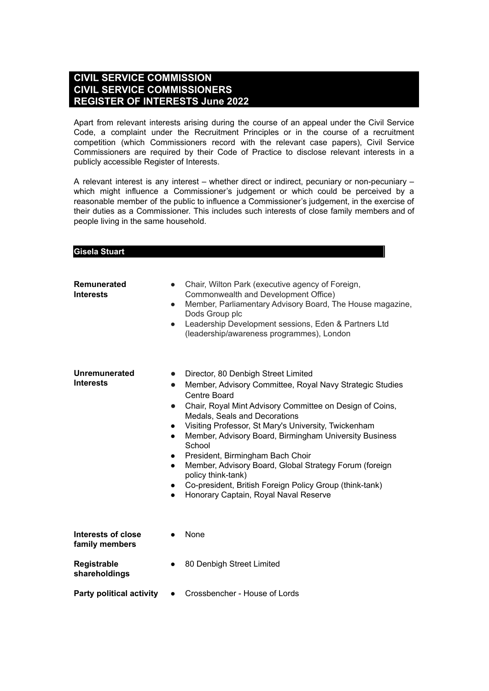#### **CIVIL SERVICE COMMISSION CIVIL SERVICE COMMISSIONERS REGISTER OF INTERESTS June 2022**

Apart from relevant interests arising during the course of an appeal under the Civil Service Code, a complaint under the Recruitment Principles or in the course of a recruitment competition (which Commissioners record with the relevant case papers), Civil Service Commissioners are required by their Code of Practice to disclose relevant interests in a publicly accessible Register of Interests.

A relevant interest is any interest – whether direct or indirect, pecuniary or non-pecuniary – which might influence a Commissioner's judgement or which could be perceived by a reasonable member of the public to influence a Commissioner's judgement, in the exercise of their duties as a Commissioner. This includes such interests of close family members and of people living in the same household.

#### **Gisela Stuart**

| <b>Remunerated</b><br><b>Interests</b> | $\bullet$<br>$\bullet$<br>$\bullet$                                                                               | Chair, Wilton Park (executive agency of Foreign,<br>Commonwealth and Development Office)<br>Member, Parliamentary Advisory Board, The House magazine,<br>Dods Group plc<br>Leadership Development sessions, Eden & Partners Ltd<br>(leadership/awareness programmes), London                                                                                                                                                                                                                                                                                                   |
|----------------------------------------|-------------------------------------------------------------------------------------------------------------------|--------------------------------------------------------------------------------------------------------------------------------------------------------------------------------------------------------------------------------------------------------------------------------------------------------------------------------------------------------------------------------------------------------------------------------------------------------------------------------------------------------------------------------------------------------------------------------|
| Unremunerated<br><b>Interests</b>      | $\bullet$<br>$\bullet$<br>$\bullet$<br>$\bullet$<br>$\bullet$<br>$\bullet$<br>$\bullet$<br>$\bullet$<br>$\bullet$ | Director, 80 Denbigh Street Limited<br>Member, Advisory Committee, Royal Navy Strategic Studies<br><b>Centre Board</b><br>Chair, Royal Mint Advisory Committee on Design of Coins,<br><b>Medals, Seals and Decorations</b><br>Visiting Professor, St Mary's University, Twickenham<br>Member, Advisory Board, Birmingham University Business<br>School<br>President, Birmingham Bach Choir<br>Member, Advisory Board, Global Strategy Forum (foreign<br>policy think-tank)<br>Co-president, British Foreign Policy Group (think-tank)<br>Honorary Captain, Royal Naval Reserve |
| Interests of close<br>family members   |                                                                                                                   | None                                                                                                                                                                                                                                                                                                                                                                                                                                                                                                                                                                           |
| Registrable<br>shareholdings           | $\bullet$                                                                                                         | 80 Denbigh Street Limited                                                                                                                                                                                                                                                                                                                                                                                                                                                                                                                                                      |
| <b>Party political activity</b>        | $\bullet$                                                                                                         | Crossbencher - House of Lords                                                                                                                                                                                                                                                                                                                                                                                                                                                                                                                                                  |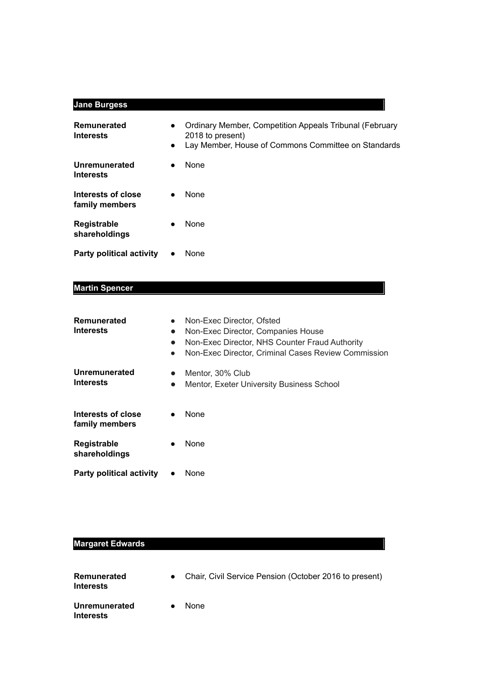### **Jane Burgess**

| Remunerated<br><b>Interests</b>      | $\bullet$<br>$\bullet$ | <b>Ordinary Member, Competition Appeals Tribunal (February</b><br>2018 to present)<br>Lay Member, House of Commons Committee on Standards |
|--------------------------------------|------------------------|-------------------------------------------------------------------------------------------------------------------------------------------|
| Unremunerated<br><b>Interests</b>    | $\bullet$              | <b>None</b>                                                                                                                               |
| Interests of close<br>family members | $\bullet$              | <b>None</b>                                                                                                                               |
| Registrable<br>shareholdings         | $\bullet$              | <b>None</b>                                                                                                                               |
| Party political activity             | $\bullet$              | None                                                                                                                                      |

## **Martin Spencer**

| Remunerated<br>Interests             | $\bullet$<br>$\bullet$<br>$\bullet$<br>$\bullet$ | Non-Exec Director, Ofsted<br>Non-Exec Director, Companies House<br>Non-Exec Director, NHS Counter Fraud Authority<br>Non-Exec Director, Criminal Cases Review Commission |
|--------------------------------------|--------------------------------------------------|--------------------------------------------------------------------------------------------------------------------------------------------------------------------------|
| <b>Unremunerated</b><br>Interests    | $\bullet$<br>●                                   | Mentor, 30% Club<br>Mentor, Exeter University Business School                                                                                                            |
| Interests of close<br>family members |                                                  | None                                                                                                                                                                     |
| Registrable<br>shareholdings         |                                                  | None                                                                                                                                                                     |
| <b>Party political activity</b>      |                                                  | None                                                                                                                                                                     |

## **Margaret Edwards**

| Remunerated<br><b>Interests</b>   | Chair, Civil Service Pension (October 2016 to present) |
|-----------------------------------|--------------------------------------------------------|
| Unremunerated<br><b>Interests</b> | <b>None</b>                                            |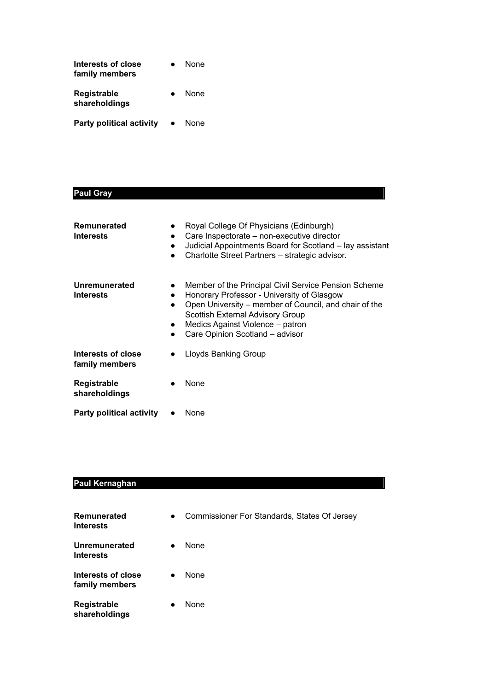| Interests of close<br>family members |           | None        |
|--------------------------------------|-----------|-------------|
| Registrable<br>shareholdings         | $\bullet$ | None        |
| <b>Party political activity</b>      |           | <b>None</b> |

#### **Paul Gray**

| Remunerated<br>Interests             | $\bullet$<br>$\bullet$ | Royal College Of Physicians (Edinburgh)<br>Care Inspectorate - non-executive director<br>Judicial Appointments Board for Scotland - lay assistant<br>Charlotte Street Partners - strategic advisor.                                                                    |
|--------------------------------------|------------------------|------------------------------------------------------------------------------------------------------------------------------------------------------------------------------------------------------------------------------------------------------------------------|
| Unremunerated<br>Interests           | $\bullet$              | Member of the Principal Civil Service Pension Scheme<br>Honorary Professor - University of Glasgow<br>Open University – member of Council, and chair of the<br>Scottish External Advisory Group<br>Medics Against Violence – patron<br>Care Opinion Scotland - advisor |
| Interests of close<br>family members |                        | Lloyds Banking Group                                                                                                                                                                                                                                                   |
| Registrable<br>shareholdings         |                        | None                                                                                                                                                                                                                                                                   |
| <b>Party political activity</b>      |                        | None                                                                                                                                                                                                                                                                   |

# **Paul Kernaghan**

| Remunerated<br><b>Interests</b>      | Commissioner For Standards, States Of Jersey<br>$\bullet$ |  |
|--------------------------------------|-----------------------------------------------------------|--|
| Unremunerated<br><b>Interests</b>    | None<br>$\bullet$                                         |  |
| Interests of close<br>family members | None<br>$\bullet$                                         |  |
| Registrable<br>shareholdings         | None                                                      |  |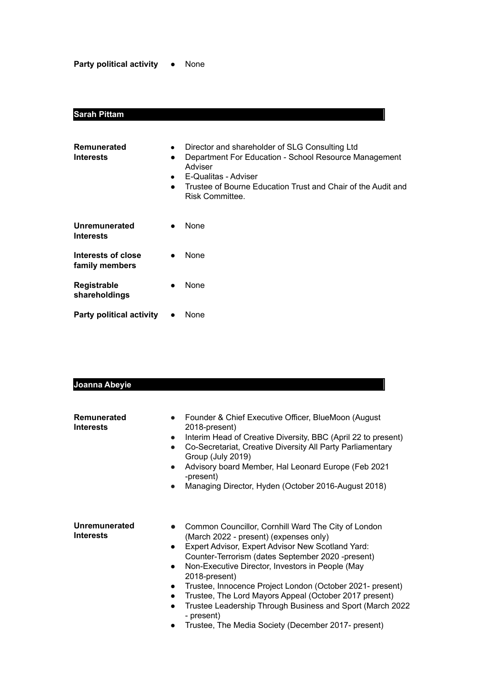**Party political activity** ● None

## **Sarah Pittam**

| <b>Remunerated</b><br><b>Interests</b> | $\bullet$<br>$\bullet$<br>$\bullet$<br>$\bullet$ | Director and shareholder of SLG Consulting Ltd<br>Department For Education - School Resource Management<br>Adviser<br>E-Qualitas - Adviser<br>Trustee of Bourne Education Trust and Chair of the Audit and<br>Risk Committee. |
|----------------------------------------|--------------------------------------------------|-------------------------------------------------------------------------------------------------------------------------------------------------------------------------------------------------------------------------------|
| Unremunerated<br><b>Interests</b>      | $\bullet$                                        | None                                                                                                                                                                                                                          |
| Interests of close<br>family members   | $\bullet$                                        | <b>None</b>                                                                                                                                                                                                                   |
| Registrable<br>shareholdings           |                                                  | None                                                                                                                                                                                                                          |
| <b>Party political activity</b>        |                                                  | None                                                                                                                                                                                                                          |

| Joanna Abeyie                          |                                                                                                                                                                                                                                                                                                                                                                                                                                                                                                                                                                                           |
|----------------------------------------|-------------------------------------------------------------------------------------------------------------------------------------------------------------------------------------------------------------------------------------------------------------------------------------------------------------------------------------------------------------------------------------------------------------------------------------------------------------------------------------------------------------------------------------------------------------------------------------------|
| <b>Remunerated</b><br><b>Interests</b> | Founder & Chief Executive Officer, BlueMoon (August<br>$\bullet$<br>2018-present)<br>Interim Head of Creative Diversity, BBC (April 22 to present)<br>Co-Secretariat, Creative Diversity All Party Parliamentary<br>$\bullet$<br>Group (July 2019)<br>Advisory board Member, Hal Leonard Europe (Feb 2021<br>$\bullet$<br>-present)<br>Managing Director, Hyden (October 2016-August 2018)                                                                                                                                                                                                |
| Unremunerated<br><b>Interests</b>      | Common Councillor, Cornhill Ward The City of London<br>$\bullet$<br>(March 2022 - present) (expenses only)<br>Expert Advisor, Expert Advisor New Scotland Yard:<br>$\bullet$<br>Counter-Terrorism (dates September 2020 -present)<br>Non-Executive Director, Investors in People (May<br>$\bullet$<br>2018-present)<br>Trustee, Innocence Project London (October 2021- present)<br>$\bullet$<br>Trustee, The Lord Mayors Appeal (October 2017 present)<br>Trustee Leadership Through Business and Sport (March 2022<br>- present)<br>Trustee, The Media Society (December 2017- present) |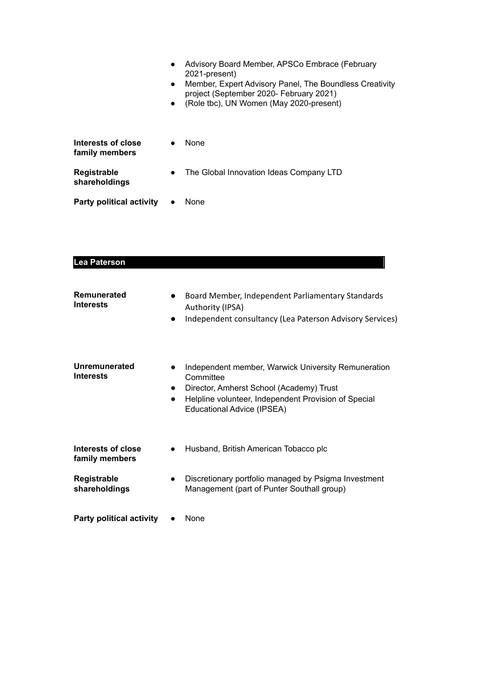|                                      | $\bullet$ | Advisory Board Member, APSCo Embrace (February<br>2021-present)<br>Member, Expert Advisory Panel, The Boundless Creativity<br>project (September 2020- February 2021)<br>(Role tbc), UN Women (May 2020-present) |
|--------------------------------------|-----------|------------------------------------------------------------------------------------------------------------------------------------------------------------------------------------------------------------------|
| Interests of close<br>family members |           | <b>None</b>                                                                                                                                                                                                      |
| Registrable<br>shareholdings         | $\bullet$ | The Global Innovation Ideas Company LTD                                                                                                                                                                          |
| <b>Party political activity</b>      | $\bullet$ | None                                                                                                                                                                                                             |

| Lea Paterson |
|--------------|
|              |

| Remunerated<br><b>Interests</b>      |           | Board Member, Independent Parliamentary Standards<br>Authority (IPSA)<br>Independent consultancy (Lea Paterson Advisory Services)                                                                  |
|--------------------------------------|-----------|----------------------------------------------------------------------------------------------------------------------------------------------------------------------------------------------------|
| Unremunerated<br><b>Interests</b>    | $\bullet$ | Independent member, Warwick University Remuneration<br>Committee<br>Director, Amherst School (Academy) Trust<br>Helpline volunteer, Independent Provision of Special<br>Educational Advice (IPSEA) |
| Interests of close<br>family members |           | Husband, British American Tobacco plc                                                                                                                                                              |
| Registrable<br>shareholdings         | $\bullet$ | Discretionary portfolio managed by Psigma Investment<br>Management (part of Punter Southall group)                                                                                                 |
| <b>Party political activity</b>      |           | None                                                                                                                                                                                               |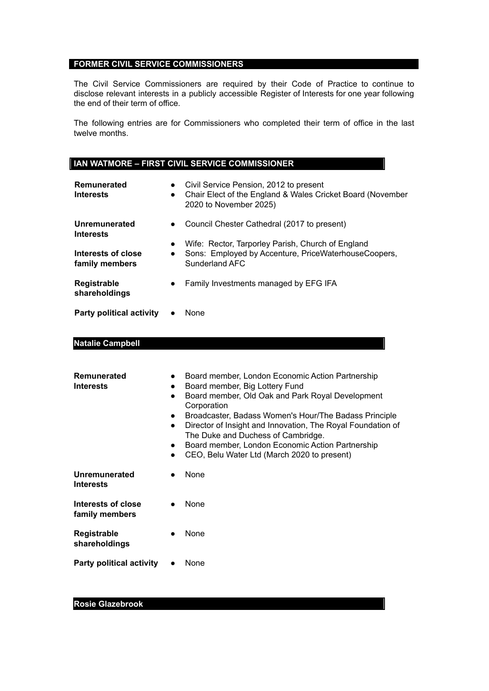#### **FORMER CIVIL SERVICE COMMISSIONERS**

The Civil Service Commissioners are required by their Code of Practice to continue to disclose relevant interests in a publicly accessible Register of Interests for one year following the end of their term of office.

The following entries are for Commissioners who completed their term of office in the last twelve months.

| <b>I IAN WATMORE – FIRST CIVIL SERVICE COMMISSIONER</b> |
|---------------------------------------------------------|
|                                                         |

| Remunerated<br><b>Interests</b>      | $\bullet$<br>$\bullet$ | Civil Service Pension, 2012 to present<br>Chair Elect of the England & Wales Cricket Board (November<br>2020 to November 2025) |
|--------------------------------------|------------------------|--------------------------------------------------------------------------------------------------------------------------------|
| Unremunerated<br><b>Interests</b>    | $\bullet$              | Council Chester Cathedral (2017 to present)                                                                                    |
| Interests of close<br>family members | $\bullet$<br>$\bullet$ | Wife: Rector, Tarporley Parish, Church of England<br>Sons: Employed by Accenture, PriceWaterhouseCoopers,<br>Sunderland AFC    |
| Registrable<br>shareholdings         | $\bullet$              | Family Investments managed by EFG IFA                                                                                          |
| <b>Party political activity</b>      |                        | None                                                                                                                           |

#### **Natalie Campbell**

| Remunerated<br><b>Interests</b>      | $\bullet$<br>$\bullet$<br>$\bullet$<br>$\bullet$<br>$\bullet$<br>$\bullet$<br>$\bullet$ | Board member, London Economic Action Partnership<br>Board member, Big Lottery Fund<br>Board member, Old Oak and Park Royal Development<br>Corporation<br>Broadcaster, Badass Women's Hour/The Badass Principle<br>Director of Insight and Innovation, The Royal Foundation of<br>The Duke and Duchess of Cambridge.<br>Board member, London Economic Action Partnership<br>CEO, Belu Water Ltd (March 2020 to present) |
|--------------------------------------|-----------------------------------------------------------------------------------------|------------------------------------------------------------------------------------------------------------------------------------------------------------------------------------------------------------------------------------------------------------------------------------------------------------------------------------------------------------------------------------------------------------------------|
| Unremunerated<br><b>Interests</b>    |                                                                                         | None                                                                                                                                                                                                                                                                                                                                                                                                                   |
| Interests of close<br>family members |                                                                                         | None                                                                                                                                                                                                                                                                                                                                                                                                                   |
| Registrable<br>shareholdings         | $\bullet$                                                                               | None                                                                                                                                                                                                                                                                                                                                                                                                                   |
| <b>Party political activity</b>      |                                                                                         | None                                                                                                                                                                                                                                                                                                                                                                                                                   |

#### **Rosie Glazebrook**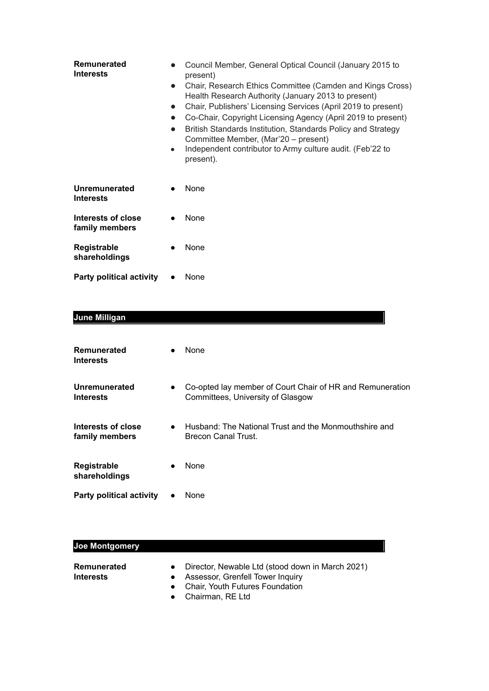| Remunerated<br><b>Interests</b>      | $\bullet$<br>$\bullet$<br>$\bullet$<br>$\bullet$ | Council Member, General Optical Council (January 2015 to<br>present)<br>Chair, Research Ethics Committee (Camden and Kings Cross)<br>Health Research Authority (January 2013 to present)<br>Chair, Publishers' Licensing Services (April 2019 to present)<br>Co-Chair, Copyright Licensing Agency (April 2019 to present)<br>British Standards Institution, Standards Policy and Strategy<br>Committee Member, (Mar'20 – present)<br>Independent contributor to Army culture audit. (Feb'22 to<br>present). |
|--------------------------------------|--------------------------------------------------|-------------------------------------------------------------------------------------------------------------------------------------------------------------------------------------------------------------------------------------------------------------------------------------------------------------------------------------------------------------------------------------------------------------------------------------------------------------------------------------------------------------|
| Unremunerated<br><b>Interests</b>    |                                                  | None                                                                                                                                                                                                                                                                                                                                                                                                                                                                                                        |
| Interests of close<br>family members |                                                  | None                                                                                                                                                                                                                                                                                                                                                                                                                                                                                                        |
| Registrable<br>shareholdings         |                                                  | None                                                                                                                                                                                                                                                                                                                                                                                                                                                                                                        |
| <b>Party political activity</b>      |                                                  | None                                                                                                                                                                                                                                                                                                                                                                                                                                                                                                        |

## **June Milligan**

| Remunerated<br><b>Interests</b>      |           | <b>None</b>                                                                                    |
|--------------------------------------|-----------|------------------------------------------------------------------------------------------------|
| Unremunerated<br><b>Interests</b>    | $\bullet$ | Co-opted lay member of Court Chair of HR and Remuneration<br>Committees, University of Glasgow |
| Interests of close<br>family members | $\bullet$ | Husband: The National Trust and the Monmouthshire and<br>Brecon Canal Trust.                   |
| <b>Registrable</b><br>shareholdings  | $\bullet$ | None                                                                                           |
| <b>Party political activity</b>      |           | None                                                                                           |

## **Joe Montgomery**

| <b>Remunerated</b> |                                    | Director, Newable Ltd (stood down in March 2021) |
|--------------------|------------------------------------|--------------------------------------------------|
| <b>Interests</b>   | • Assessor, Grenfell Tower Inquiry |                                                  |
|                    | c Chair Vauth Futures Faundation   |                                                  |

- **●** Chair, Youth Futures Foundation
- **●** Chairman, RE Ltd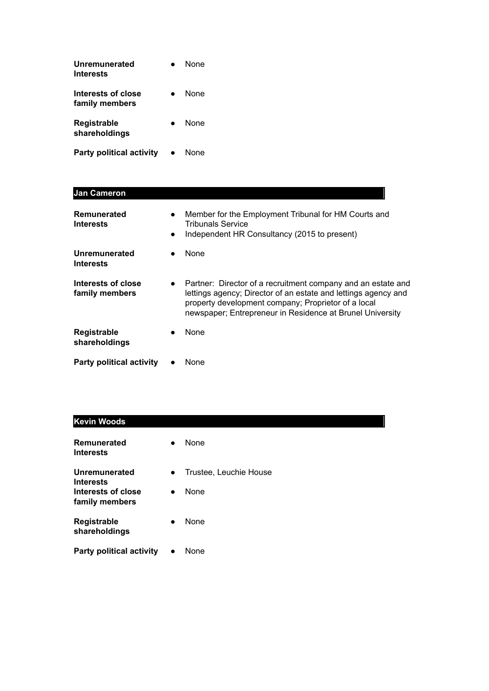| Unremunerated<br><i><u><b>Interests</b></u></i> | <b>None</b> |
|-------------------------------------------------|-------------|
| Interests of close<br>family members            | None        |
| Registrable<br>shareholdings                    | <b>None</b> |
| <b>Party political activity</b>                 | None        |

| <b>Jan Cameron</b>                   |                        |                                                                                                                                                                                                                                                    |
|--------------------------------------|------------------------|----------------------------------------------------------------------------------------------------------------------------------------------------------------------------------------------------------------------------------------------------|
| Remunerated<br><b>Interests</b>      | $\bullet$<br>$\bullet$ | Member for the Employment Tribunal for HM Courts and<br><b>Tribunals Service</b><br>Independent HR Consultancy (2015 to present)                                                                                                                   |
| Unremunerated<br><b>Interests</b>    |                        | None                                                                                                                                                                                                                                               |
| Interests of close<br>family members | $\bullet$              | Partner: Director of a recruitment company and an estate and<br>lettings agency; Director of an estate and lettings agency and<br>property development company; Proprietor of a local<br>newspaper; Entrepreneur in Residence at Brunel University |
| Registrable<br>shareholdings         |                        | <b>None</b>                                                                                                                                                                                                                                        |
| <b>Party political activity</b>      |                        | None                                                                                                                                                                                                                                               |

| <b>Kevin Woods</b>                     |           |                        |
|----------------------------------------|-----------|------------------------|
| <b>Remunerated</b><br><b>Interests</b> | $\bullet$ | None                   |
| Unremunerated<br><b>Interests</b>      | $\bullet$ | Trustee, Leuchie House |
| Interests of close<br>family members   | $\bullet$ | None                   |
| Registrable<br>shareholdings           | $\bullet$ | None                   |
| <b>Party political activity</b>        | $\bullet$ | None                   |